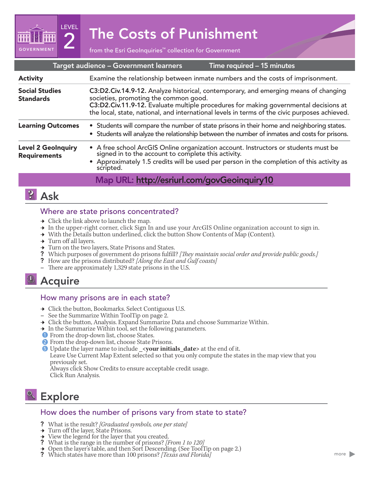# $\mathbf{Z}^{\text{test}}$  The Costs of Punishment

| Target audience - Government learners<br>Time required - 15 minutes |                                                                                                                                                                                                                                                                                                                       |
|---------------------------------------------------------------------|-----------------------------------------------------------------------------------------------------------------------------------------------------------------------------------------------------------------------------------------------------------------------------------------------------------------------|
| <b>Activity</b>                                                     | Examine the relationship between inmate numbers and the costs of imprisonment.                                                                                                                                                                                                                                        |
| <b>Social Studies</b><br><b>Standards</b>                           | C3:D2.Civ.14.9-12. Analyze historical, contemporary, and emerging means of changing<br>societies, promoting the common good.<br>C3:D2.Civ.11.9-12. Evaluate multiple procedures for making governmental decisions at<br>the local, state, national, and international levels in terms of the civic purposes achieved. |
| <b>Learning Outcomes</b>                                            | • Students will compare the number of state prisons in their home and neighboring states.<br>• Students will analyze the relationship between the number of inmates and costs for prisons.                                                                                                                            |
| <b>Level 2 GeoInquiry</b><br><b>Requirements</b>                    | • A free school ArcGIS Online organization account. Instructors or students must be signed in to the account to complete this activity.<br>• Approximately 1.5 credits will be used per person in the completion of this activity as<br>scripted.                                                                     |
|                                                                     | Map URL: http://esriurl.com/govGeoinquiry10                                                                                                                                                                                                                                                                           |

# **2** Ask

**GOVERNMENT** 

LEVEL

#### Where are state prisons concentrated?

- $\rightarrow$  Click the link above to launch the map.
- → In the upper-right corner, click Sign In and use your ArcGIS Online organization account to sign in.
- $\rightarrow$  With the Details button underlined, click the button Show Contents of Map (Content).
- $\rightarrow$  Turn off all layers.
- $\rightarrow$  Turn on the two layers, State Prisons and States.
- ? Which purposes of government do prisons fulfill? *[They maintain social order and provide public goods.]*
- ? How are the prisons distributed? *[Along the East and Gulf coasts]* **–** There are approximately 1,329 state prisons in the U.S.
- 

# <sup>1</sup> Acquire

#### How many prisons are in each state?

- → Click the button, Bookmarks. Select Contiguous U.S.
- **–** See the Summarize Within ToolTip on page 2.
- → Click the button, Analysis. Expand Summarize Data and choose Summarize Within.
- $\rightarrow$  In the Summarize Within tool, set the following parameters.
- **1** From the drop-down list, choose States.
- 2 From the drop-down list, choose State Prisons.
- **5** Update the layer name to include \_<**your initials\_date>** at the end of it.

Leave Use Current Map Extent selected so that you only compute the states in the map view that you previously set.

Always click Show Credits to ensure acceptable credit usage. Click Run Analysis.

# **Explore**

#### How does the number of prisons vary from state to state?

- ? What is the result? *[Graduated symbols, one per state]*
- → Turn off the layer, State Prisons.
- 
- <sup>ʅ</sup> View the legend for the layer that you created. ? What is the range in the number of prisons? *[From 1 to 120]*
- <sup>ʅ</sup> Open the layer's table, and then Sort Descending. (See ToolTip on page 2.) ? Which states have more than 100 prisons? *[Texas and Florida]*
-